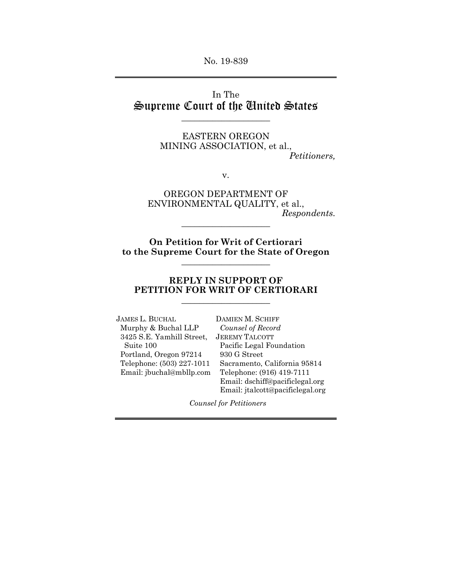No. 19-839

## In The Supreme Court of the United States

 $\_$ 

EASTERN OREGON MINING ASSOCIATION, et al., *Petitioners,* 

v.

OREGON DEPARTMENT OF ENVIRONMENTAL QUALITY, et al., *Respondents.* 

**On Petition for Writ of Certiorari to the Supreme Court for the State of Oregon**  $\_$ 

\_\_\_\_\_\_\_\_\_\_\_\_\_\_\_\_\_\_\_\_

### **REPLY IN SUPPORT OF PETITION FOR WRIT OF CERTIORARI**  \_\_\_\_\_\_\_\_\_\_\_\_\_\_\_\_\_\_\_\_

JAMES L. BUCHAL DAMIEN M. SCHIFF Murphy & Buchal LLP *Counsel of Record*  3425 S.E. Yamhill Street, JEREMY TALCOTT Suite 100 Pacific Legal Foundation Portland, Oregon 97214 930 G Street Email: jbuchal@mbllp.com Telephone: (916) 419-7111

 Telephone: (503) 227-1011 Sacramento, California 95814 Email: dschiff@pacificlegal.org Email: jtalcott@pacificlegal.org

*Counsel for Petitioners*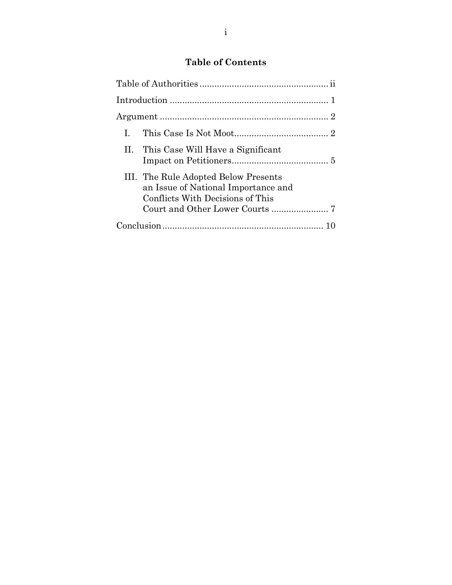# **Table of Contents**

| $\mathbf{L}$                                                                                                    |
|-----------------------------------------------------------------------------------------------------------------|
| II. This Case Will Have a Significant                                                                           |
| III. The Rule Adopted Below Presents<br>an Issue of National Importance and<br>Conflicts With Decisions of This |
|                                                                                                                 |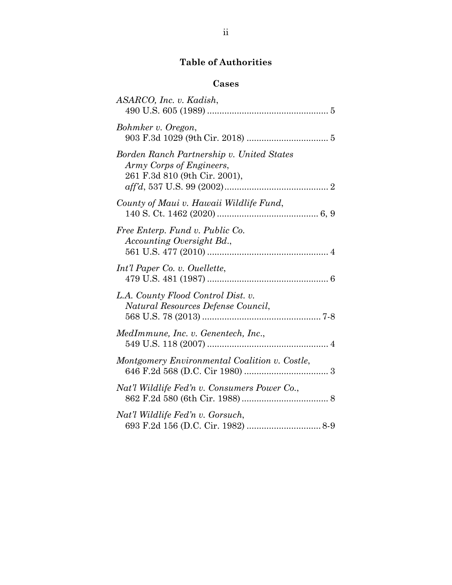# **Table of Authorities**

# **Cases**

| ASARCO, Inc. v. Kadish,                                                                                |
|--------------------------------------------------------------------------------------------------------|
| Bohmker v. Oregon,                                                                                     |
| Borden Ranch Partnership v. United States<br>Army Corps of Engineers,<br>261 F.3d 810 (9th Cir. 2001), |
| County of Maui v. Hawaii Wildlife Fund,                                                                |
| Free Enterp. Fund v. Public Co.<br>Accounting Oversight Bd.,                                           |
| Int'l Paper Co. v. Ouellette,                                                                          |
| L.A. County Flood Control Dist. v.<br>Natural Resources Defense Council,                               |
| MedImmune, Inc. v. Genentech, Inc.,                                                                    |
| Montgomery Environmental Coalition v. Costle,                                                          |
| Nat'l Wildlife Fed'n v. Consumers Power Co.,                                                           |
| Nat'l Wildlife Fed'n v. Gorsuch,                                                                       |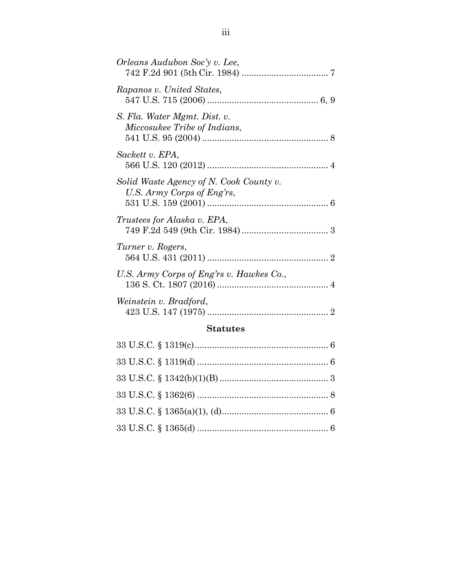| Orleans Audubon Soc'y v. Lee,                                         |  |
|-----------------------------------------------------------------------|--|
| Rapanos v. United States,                                             |  |
| S. Fla. Water Mgmt. Dist. v.<br>Miccosukee Tribe of Indians,          |  |
| Sackett v. EPA,                                                       |  |
| Solid Waste Agency of N. Cook County v.<br>U.S. Army Corps of Eng'rs, |  |
| Trustees for Alaska v. EPA,                                           |  |
| Turner v. Rogers,                                                     |  |
| U.S. Army Corps of Eng'rs v. Hawkes Co.,                              |  |
| Weinstein v. Bradford,                                                |  |
| <b>Statutes</b>                                                       |  |
|                                                                       |  |

33 U.S.C. § 1319(d) ..................................................... 6

33 U.S.C. § 1342(b)(1)(B) ............................................ 3

33 U.S.C. § 1362(6) ..................................................... 8

33 U.S.C. § 1365(a)(1), (d) ........................................... 6

33 U.S.C. § 1365(d) ..................................................... 6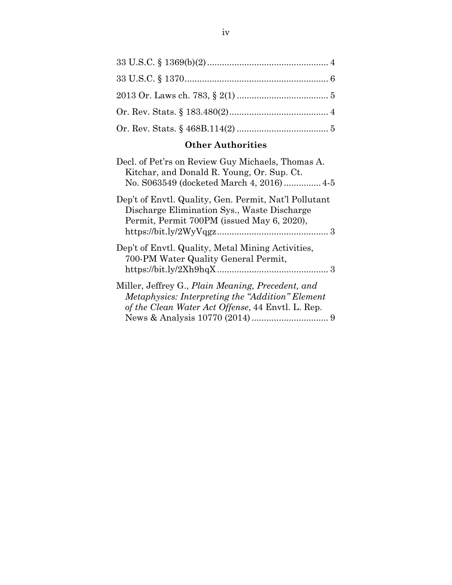## **Other Authorities**

| Decl. of Pet'rs on Review Guy Michaels, Thomas A.<br>Kitchar, and Donald R. Young, Or. Sup. Ct.<br>No. S063549 (docketed March 4, 2016) 4-5                |
|------------------------------------------------------------------------------------------------------------------------------------------------------------|
| Dep't of Envtl. Quality, Gen. Permit, Nat'l Pollutant<br>Discharge Elimination Sys., Waste Discharge<br>Permit, Permit 700PM (issued May 6, 2020),         |
| Dep't of Envtl. Quality, Metal Mining Activities,<br>700-PM Water Quality General Permit,                                                                  |
| Miller, Jeffrey G., Plain Meaning, Precedent, and<br>Metaphysics: Interpreting the "Addition" Element<br>of the Clean Water Act Offense, 44 Envtl. L. Rep. |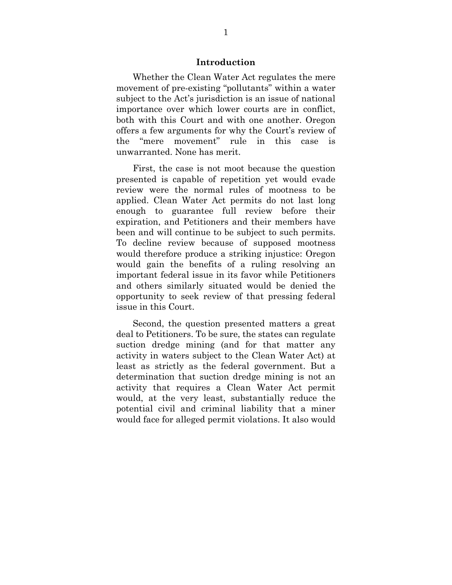#### **Introduction**

 Whether the Clean Water Act regulates the mere movement of pre-existing "pollutants" within a water subject to the Act's jurisdiction is an issue of national importance over which lower courts are in conflict, both with this Court and with one another. Oregon offers a few arguments for why the Court's review of the "mere movement" rule in this case is unwarranted. None has merit.

 First, the case is not moot because the question presented is capable of repetition yet would evade review were the normal rules of mootness to be applied. Clean Water Act permits do not last long enough to guarantee full review before their expiration, and Petitioners and their members have been and will continue to be subject to such permits. To decline review because of supposed mootness would therefore produce a striking injustice: Oregon would gain the benefits of a ruling resolving an important federal issue in its favor while Petitioners and others similarly situated would be denied the opportunity to seek review of that pressing federal issue in this Court.

 Second, the question presented matters a great deal to Petitioners. To be sure, the states can regulate suction dredge mining (and for that matter any activity in waters subject to the Clean Water Act) at least as strictly as the federal government. But a determination that suction dredge mining is not an activity that requires a Clean Water Act permit would, at the very least, substantially reduce the potential civil and criminal liability that a miner would face for alleged permit violations. It also would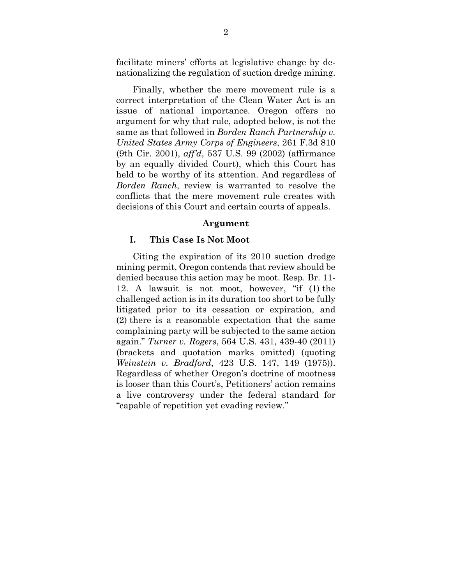facilitate miners' efforts at legislative change by denationalizing the regulation of suction dredge mining.

 Finally, whether the mere movement rule is a correct interpretation of the Clean Water Act is an issue of national importance. Oregon offers no argument for why that rule, adopted below, is not the same as that followed in *Borden Ranch Partnership v. United States Army Corps of Engineers*, 261 F.3d 810 (9th Cir. 2001), *aff'd*, 537 U.S. 99 (2002) (affirmance by an equally divided Court), which this Court has held to be worthy of its attention. And regardless of *Borden Ranch*, review is warranted to resolve the conflicts that the mere movement rule creates with decisions of this Court and certain courts of appeals.

#### **Argument**

#### **I. This Case Is Not Moot**

 Citing the expiration of its 2010 suction dredge mining permit, Oregon contends that review should be denied because this action may be moot. Resp. Br. 11- 12. A lawsuit is not moot, however, "if (1) the challenged action is in its duration too short to be fully litigated prior to its cessation or expiration, and (2) there is a reasonable expectation that the same complaining party will be subjected to the same action again." *Turner v. Rogers*, 564 U.S. 431, 439-40 (2011) (brackets and quotation marks omitted) (quoting *Weinstein v. Bradford*, 423 U.S. 147, 149 (1975)). Regardless of whether Oregon's doctrine of mootness is looser than this Court's, Petitioners' action remains a live controversy under the federal standard for "capable of repetition yet evading review."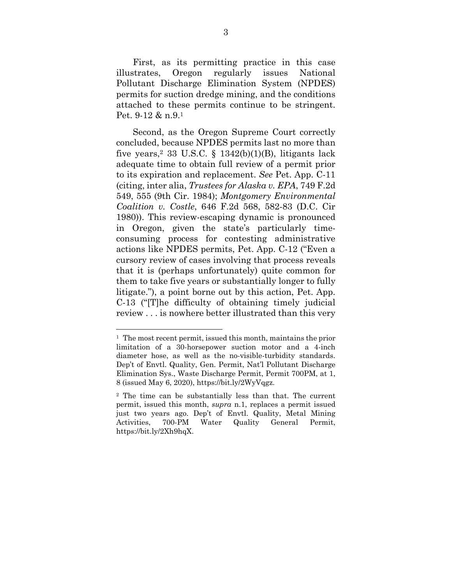First, as its permitting practice in this case illustrates, Oregon regularly issues National Pollutant Discharge Elimination System (NPDES) permits for suction dredge mining, and the conditions attached to these permits continue to be stringent. Pet. 9-12 & n.9.1

 Second, as the Oregon Supreme Court correctly concluded, because NPDES permits last no more than five years,<sup>2</sup> 33 U.S.C. § 1342(b)(1)(B), litigants lack adequate time to obtain full review of a permit prior to its expiration and replacement. *See* Pet. App. C-11 (citing, inter alia, *Trustees for Alaska v. EPA*, 749 F.2d 549, 555 (9th Cir. 1984); *Montgomery Environmental Coalition v. Costle*, 646 F.2d 568, 582-83 (D.C. Cir 1980)). This review-escaping dynamic is pronounced in Oregon, given the state's particularly timeconsuming process for contesting administrative actions like NPDES permits, Pet. App. C-12 ("Even a cursory review of cases involving that process reveals that it is (perhaps unfortunately) quite common for them to take five years or substantially longer to fully litigate."), a point borne out by this action, Pet. App. C-13 ("[T]he difficulty of obtaining timely judicial review . . . is nowhere better illustrated than this very

<sup>1</sup> The most recent permit, issued this month, maintains the prior limitation of a 30-horsepower suction motor and a 4-inch diameter hose, as well as the no-visible-turbidity standards. Dep't of Envtl. Quality, Gen. Permit, Nat'l Pollutant Discharge Elimination Sys., Waste Discharge Permit, Permit 700PM, at 1, 8 (issued May 6, 2020), https://bit.ly/2WyVqgz.

<sup>2</sup> The time can be substantially less than that. The current permit, issued this month, *supra* n.1, replaces a permit issued just two years ago. Dep't of Envtl. Quality, Metal Mining Activities, 700-PM Water Quality General Permit, https://bit.ly/2Xh9hqX.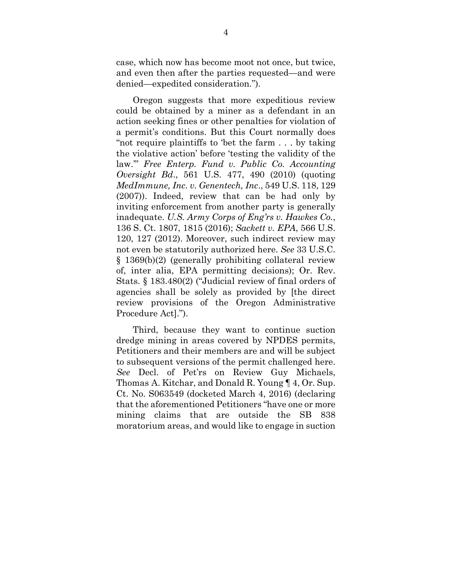case, which now has become moot not once, but twice, and even then after the parties requested—and were denied—expedited consideration.").

 Oregon suggests that more expeditious review could be obtained by a miner as a defendant in an action seeking fines or other penalties for violation of a permit's conditions. But this Court normally does "not require plaintiffs to 'bet the farm . . . by taking the violative action' before 'testing the validity of the law.'" *Free Enterp. Fund v. Public Co. Accounting Oversight Bd*., 561 U.S. 477, 490 (2010) (quoting *MedImmune, Inc. v. Genentech, Inc*., 549 U.S. 118, 129 (2007)). Indeed, review that can be had only by inviting enforcement from another party is generally inadequate. *U.S. Army Corps of Eng'rs v. Hawkes Co.*, 136 S. Ct. 1807, 1815 (2016); *Sackett v. EPA*, 566 U.S. 120, 127 (2012). Moreover, such indirect review may not even be statutorily authorized here. *See* 33 U.S.C. § 1369(b)(2) (generally prohibiting collateral review of, inter alia, EPA permitting decisions); Or. Rev. Stats. § 183.480(2) ("Judicial review of final orders of agencies shall be solely as provided by [the direct review provisions of the Oregon Administrative Procedure Act].").

 Third, because they want to continue suction dredge mining in areas covered by NPDES permits, Petitioners and their members are and will be subject to subsequent versions of the permit challenged here. *See* Decl. of Pet'rs on Review Guy Michaels, Thomas A. Kitchar, and Donald R. Young ¶ 4, Or. Sup. Ct. No. S063549 (docketed March 4, 2016) (declaring that the aforementioned Petitioners "have one or more mining claims that are outside the SB 838 moratorium areas, and would like to engage in suction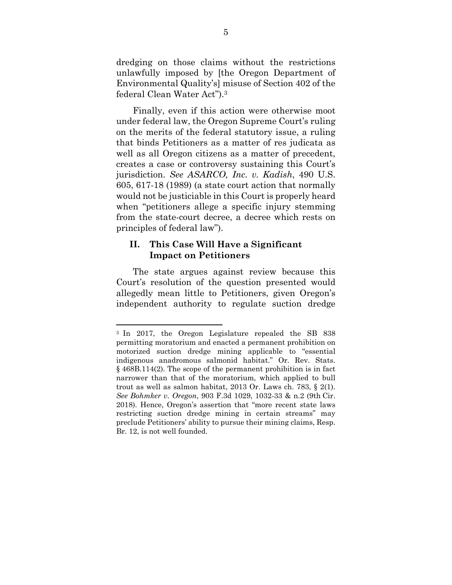dredging on those claims without the restrictions unlawfully imposed by [the Oregon Department of Environmental Quality's] misuse of Section 402 of the federal Clean Water Act").3

 Finally, even if this action were otherwise moot under federal law, the Oregon Supreme Court's ruling on the merits of the federal statutory issue, a ruling that binds Petitioners as a matter of res judicata as well as all Oregon citizens as a matter of precedent, creates a case or controversy sustaining this Court's jurisdiction. *See ASARCO, Inc. v. Kadish*, 490 U.S. 605, 617-18 (1989) (a state court action that normally would not be justiciable in this Court is properly heard when "petitioners allege a specific injury stemming from the state-court decree, a decree which rests on principles of federal law").

### **II. This Case Will Have a Significant Impact on Petitioners**

 The state argues against review because this Court's resolution of the question presented would allegedly mean little to Petitioners, given Oregon's independent authority to regulate suction dredge

<sup>3</sup> In 2017, the Oregon Legislature repealed the SB 838 permitting moratorium and enacted a permanent prohibition on motorized suction dredge mining applicable to "essential indigenous anadromous salmonid habitat." Or. Rev. Stats. § 468B.114(2). The scope of the permanent prohibition is in fact narrower than that of the moratorium, which applied to bull trout as well as salmon habitat, 2013 Or. Laws ch. 783, § 2(1). *See Bohmker v. Oregon*, 903 F.3d 1029, 1032-33 & n.2 (9th Cir. 2018). Hence, Oregon's assertion that "more recent state laws restricting suction dredge mining in certain streams" may preclude Petitioners' ability to pursue their mining claims, Resp. Br. 12, is not well founded.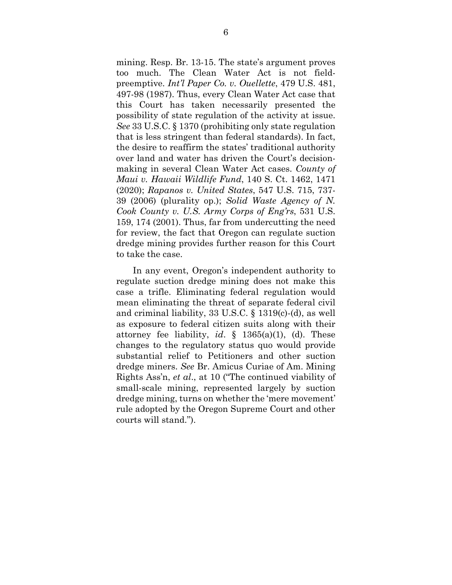mining. Resp. Br. 13-15. The state's argument proves too much. The Clean Water Act is not fieldpreemptive. *Int'l Paper Co. v. Ouellette*, 479 U.S. 481, 497-98 (1987). Thus, every Clean Water Act case that this Court has taken necessarily presented the possibility of state regulation of the activity at issue. *See* 33 U.S.C. § 1370 (prohibiting only state regulation that is less stringent than federal standards). In fact, the desire to reaffirm the states' traditional authority over land and water has driven the Court's decisionmaking in several Clean Water Act cases. *County of Maui v. Hawaii Wildlife Fund*, 140 S. Ct. 1462, 1471 (2020); *Rapanos v. United States*, 547 U.S. 715, 737- 39 (2006) (plurality op.); *Solid Waste Agency of N. Cook County v. U.S. Army Corps of Eng'rs*, 531 U.S. 159, 174 (2001). Thus, far from undercutting the need for review, the fact that Oregon can regulate suction dredge mining provides further reason for this Court to take the case.

 In any event, Oregon's independent authority to regulate suction dredge mining does not make this case a trifle. Eliminating federal regulation would mean eliminating the threat of separate federal civil and criminal liability, 33 U.S.C. § 1319(c)-(d), as well as exposure to federal citizen suits along with their attorney fee liability, *id*. § 1365(a)(1), (d). These changes to the regulatory status quo would provide substantial relief to Petitioners and other suction dredge miners. *See* Br. Amicus Curiae of Am. Mining Rights Ass'n, *et al*., at 10 ("The continued viability of small-scale mining, represented largely by suction dredge mining, turns on whether the 'mere movement' rule adopted by the Oregon Supreme Court and other courts will stand.").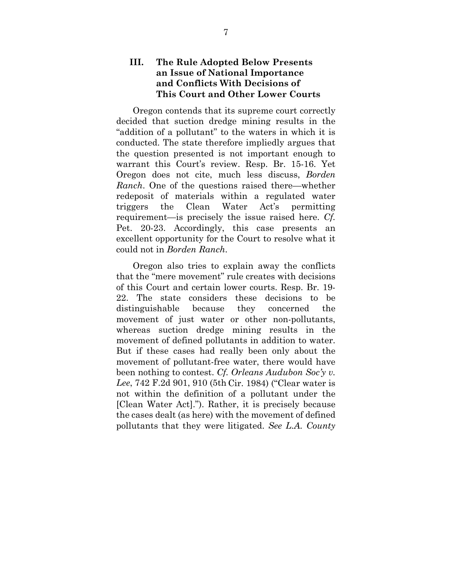### **III. The Rule Adopted Below Presents an Issue of National Importance and Conflicts With Decisions of This Court and Other Lower Courts**

 Oregon contends that its supreme court correctly decided that suction dredge mining results in the "addition of a pollutant" to the waters in which it is conducted. The state therefore impliedly argues that the question presented is not important enough to warrant this Court's review. Resp. Br. 15-16. Yet Oregon does not cite, much less discuss, *Borden Ranch*. One of the questions raised there—whether redeposit of materials within a regulated water triggers the Clean Water Act's permitting requirement—is precisely the issue raised here. *Cf.* Pet. 20-23. Accordingly, this case presents an excellent opportunity for the Court to resolve what it could not in *Borden Ranch*.

 Oregon also tries to explain away the conflicts that the "mere movement" rule creates with decisions of this Court and certain lower courts. Resp. Br. 19- 22. The state considers these decisions to be distinguishable because they concerned the movement of just water or other non-pollutants, whereas suction dredge mining results in the movement of defined pollutants in addition to water. But if these cases had really been only about the movement of pollutant-free water, there would have been nothing to contest. *Cf. Orleans Audubon Soc'y v. Lee*, 742 F.2d 901, 910 (5th Cir. 1984) ("Clear water is not within the definition of a pollutant under the [Clean Water Act]."). Rather, it is precisely because the cases dealt (as here) with the movement of defined pollutants that they were litigated. *See L.A. County*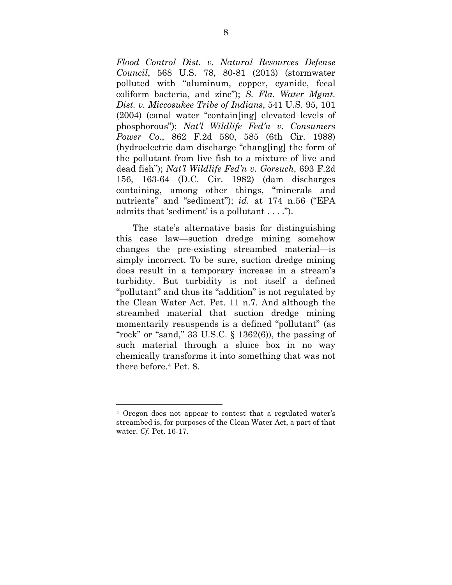*Flood Control Dist. v. Natural Resources Defense Council*, 568 U.S. 78, 80-81 (2013) (stormwater polluted with "aluminum, copper, cyanide, fecal coliform bacteria, and zinc"); *S. Fla. Water Mgmt. Dist. v. Miccosukee Tribe of Indians*, 541 U.S. 95, 101 (2004) (canal water "contain[ing] elevated levels of phosphorous"); *Nat'l Wildlife Fed'n v. Consumers Power Co.*, 862 F.2d 580, 585 (6th Cir. 1988) (hydroelectric dam discharge "chang[ing] the form of the pollutant from live fish to a mixture of live and dead fish"); *Nat'l Wildlife Fed'n v. Gorsuch*, 693 F.2d 156, 163-64 (D.C. Cir. 1982) (dam discharges containing, among other things, "minerals and nutrients" and "sediment"); *id.* at 174 n.56 ("EPA admits that 'sediment' is a pollutant . . . .").

 The state's alternative basis for distinguishing this case law—suction dredge mining somehow changes the pre-existing streambed material—is simply incorrect. To be sure, suction dredge mining does result in a temporary increase in a stream's turbidity. But turbidity is not itself a defined "pollutant" and thus its "addition" is not regulated by the Clean Water Act. Pet. 11 n.7. And although the streambed material that suction dredge mining momentarily resuspends is a defined "pollutant" (as "rock" or "sand," 33 U.S.C.  $\S$  1362(6)), the passing of such material through a sluice box in no way chemically transforms it into something that was not there before.4 Pet. 8.

<sup>4</sup> Oregon does not appear to contest that a regulated water's streambed is, for purposes of the Clean Water Act, a part of that water. *Cf*. Pet. 16-17.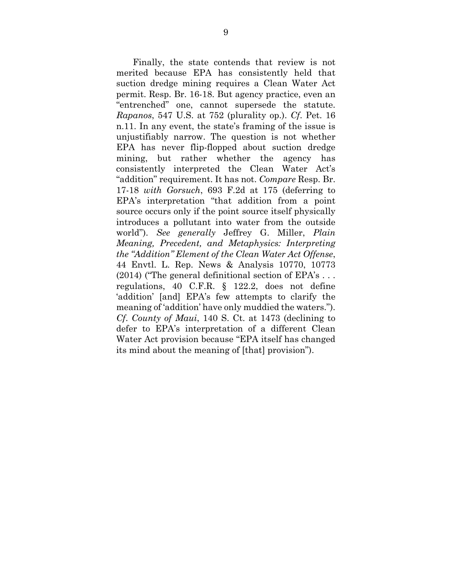Finally, the state contends that review is not merited because EPA has consistently held that suction dredge mining requires a Clean Water Act permit. Resp. Br. 16-18. But agency practice, even an "entrenched" one, cannot supersede the statute. *Rapanos*, 547 U.S. at 752 (plurality op.). *Cf*. Pet. 16 n.11. In any event, the state's framing of the issue is unjustifiably narrow. The question is not whether EPA has never flip-flopped about suction dredge mining, but rather whether the agency has consistently interpreted the Clean Water Act's "addition" requirement. It has not. *Compare* Resp. Br. 17-18 *with Gorsuch*, 693 F.2d at 175 (deferring to EPA's interpretation "that addition from a point source occurs only if the point source itself physically introduces a pollutant into water from the outside world"). *See generally* Jeffrey G. Miller, *Plain Meaning, Precedent, and Metaphysics: Interpreting the "Addition" Element of the Clean Water Act Offense*, 44 Envtl. L. Rep. News & Analysis 10770, 10773 (2014) ("The general definitional section of EPA's . . . regulations, 40 C.F.R. § 122.2, does not define 'addition' [and] EPA's few attempts to clarify the meaning of 'addition' have only muddied the waters."). *Cf*. *County of Maui*, 140 S. Ct. at 1473 (declining to defer to EPA's interpretation of a different Clean Water Act provision because "EPA itself has changed its mind about the meaning of [that] provision").